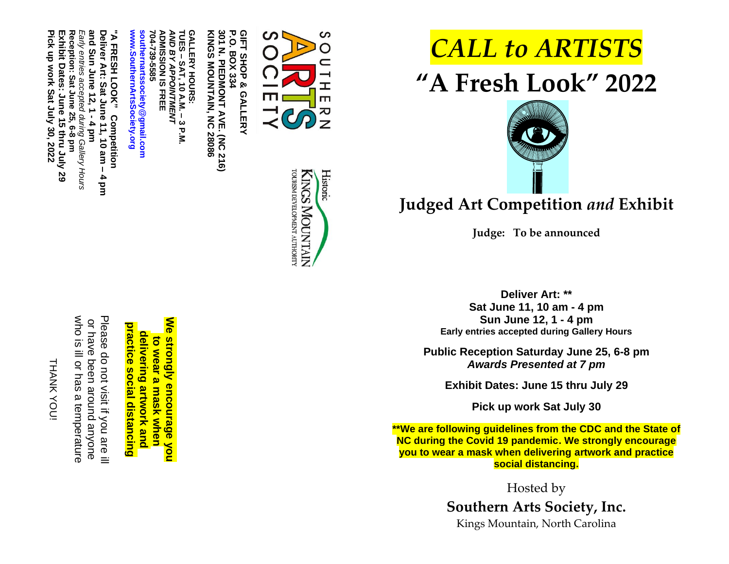THANK YOU THANK YOU!

who is ill or has a temperature Please do not visit if you are ill who is ill or has a temperature Please do not visit if you are ill or have been around anyone have been around anyone

**We** practice social distancing **practice social distancing** delivering artwork and **delivering artwork** to wear a mask when **to wear a mask when strongly encourage you**

**ADMISSION IS FREE ADMISSION IS FREE** *AND BY APPOINTMENT* **TUES – SAT, GALLERY AND BY APPOINTMENT GALLERY HOURS: KINGS MOUNTAIN, NC 28086 10 A.M. –** <u>ىن</u> **P.M.**

**704**

**" A**

**Deliver Art:**

**and Sun June 12, 1** and Sun June 12, 1 -

*Early entries accepted*

**Reception: Sat June 25, 6-8 pm Exhibit Dates: June 15**

Early entries accepted during Gallery Hours<br>Reception: Sat June 25, 6-8 pm

*during Gallery Hours*

**thru July 29**

**Pick up work Sat July 30, 2022**

**Pick up work Sat July 30, 2022** Exhibit Dates: June 15 thru July 29

**FRESH LOOK"** 

**Competition**

**Sat June 11, 10 am –**

Deliver Art: Sat June 11, 10 am –<br>and Sun June 12, 1 - 4 pm

**4 pm** **-739-5585**

**[www.SouthernArtsSociety.org](http://www.southernartssociety.org/) [southernartssociety@gmail.com](mailto:southernartssociety@gmail.com)**

www.SouthernArtsSociety.org southernartssociety@gmail.com

P.O. 301 N. PIEDMONT AVE. (NC 216)<br>KINGS MOUNTAIN, NC 28086 **301 N. PIEDMONT AVE. (NC 216) P.O. BOX 334 BOX 334** 





ပာ

 $\rightarrow$ ᆂ m

ス<br>N<br>N

## *CALL to ARTISTS* **" A Fresh Look " 20 2 2**



## **Judged Art Competition** *and* **Exhibit**

**Judge: To be announced**

**Deliver Art: \*\* Sat June 11 , 10 am - 4 pm Sun June 12, 1 - 4 pm Early entries accepted during Gallery Hours**

**Public Reception Saturday June 25, 6 - 8 pm**  *Awards Presented at 7 pm*

**Exhibit Dates: June 15 thru July 29**

**Pick up work Sat July 3 0**

**\*\*We are following guidelines from the CDC and the State of NC during the Covid 19 pandemic. We strongly encourage you to wear a mask when delivering artwork and practice social distancing .**

> Hosted by **Southern Arts Society, Inc.** Kings Mountain, North Carolin a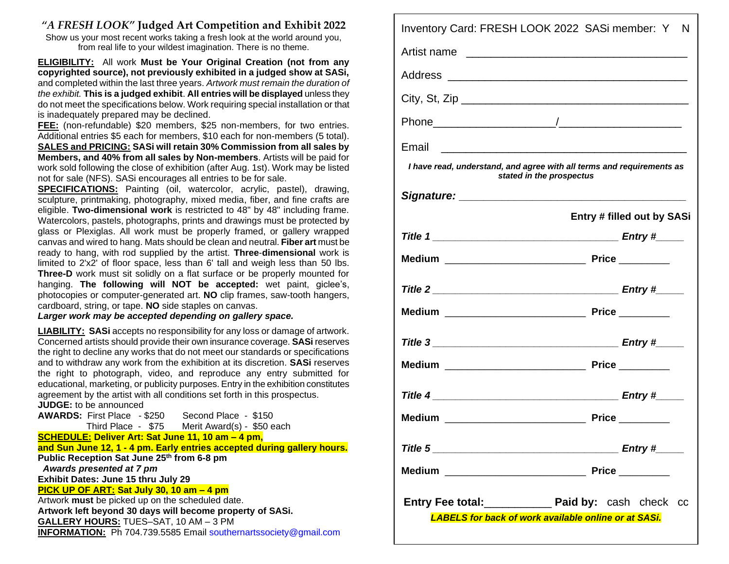## *"A FRESH LOOK"* **Judged Art Competition and Exhibit 2022**

Show us your most recent works taking a fresh look at the world around you, from real life to your wildest imagination. There is no theme.

**ELIGIBILITY:** All work **Must be Your Original Creation (not from any copyrighted source), not previously exhibited in a judged show at SASi,**  and completed within the last three years. *Artwork must remain the duration of the exhibit.* **This is a judged exhibit**. **All entries will be displayed** unless they do not meet the specifications below. Work requiring special installation or that is inadequately prepared may be declined.

**FEE:** (non-refundable) \$20 members, \$25 non-members, for two entries. Additional entries \$5 each for members, \$10 each for non-members (5 total). **SALES and PRICING: SASi will retain 30% Commission from all sales by Members, and 40% from all sales by Non-members**. Artists will be paid for work sold following the close of exhibition (after Aug. 1st). Work may be listed not for sale (NFS). SASi encourages all entries to be for sale.

**SPECIFICATIONS:** Painting (oil, watercolor, acrylic, pastel), drawing, sculpture, printmaking, photography, mixed media, fiber, and fine crafts are eligible. **Two-dimensional work** is restricted to 48" by 48" including frame. Watercolors, pastels, photographs, prints and drawings must be protected by glass or Plexiglas. All work must be properly framed, or gallery wrapped canvas and wired to hang. Mats should be clean and neutral. **Fiber art** must be ready to hang, with rod supplied by the artist. **Three**-**dimensional** work is limited to 2'x2' of floor space, less than 6' tall and weigh less than 50 lbs. **Three-D** work must sit solidly on a flat surface or be properly mounted for hanging. **The following will NOT be accepted:** wet paint, giclee's, photocopies or computer-generated art. **NO** clip frames, saw-tooth hangers, cardboard, string, or tape. **NO** side staples on canvas.

*Larger work may be accepted depending on gallery space.*

**LIABILITY: SASi** accepts no responsibility for any loss or damage of artwork. Concerned artists should provide their own insurance coverage. **SASi** reserves the right to decline any works that do not meet our standards or specifications and to withdraw any work from the exhibition at its discretion. **SASi** reserves the right to photograph, video, and reproduce any entry submitted for educational, marketing, or publicity purposes. Entry in the exhibition constitutes agreement by the artist with all conditions set forth in this prospectus.

**JUDGE:** to be announced **AWARDS:** First Place - \$250 Second Place - \$150 Third Place - \$75 Merit Award(s) - \$50 each **SCHEDULE: Deliver Art: Sat June 11, 10 am – 4 pm, and Sun June 12, 1 - 4 pm. Early entries accepted during gallery hours. Public Reception Sat June 25th from 6-8 pm**  *Awards presented at 7 pm* **Exhibit Dates: June 15 thru July 29 PICK UP OF ART: Sat July 30, 10 am – 4 pm** Artwork **must** be picked up on the scheduled date. **Artwork left beyond 30 days will become property of SASi. GALLERY HOURS:** TUES–SAT, 10 AM – 3 PM **INFORMATION:** Ph 704.739.5585 Email [southernartssociety@gmail.com](mailto:southernartssociety@gmail.com)

| Inventory Card: FRESH LOOK 2022 SASi member: Y N                                                                      |  |                                   |  |  |  |  |
|-----------------------------------------------------------------------------------------------------------------------|--|-----------------------------------|--|--|--|--|
| Artist name                                                                                                           |  |                                   |  |  |  |  |
|                                                                                                                       |  |                                   |  |  |  |  |
|                                                                                                                       |  |                                   |  |  |  |  |
|                                                                                                                       |  |                                   |  |  |  |  |
| Email                                                                                                                 |  |                                   |  |  |  |  |
| I have read, understand, and agree with all terms and requirements as<br>stated in the prospectus                     |  |                                   |  |  |  |  |
|                                                                                                                       |  |                                   |  |  |  |  |
|                                                                                                                       |  | <b>Entry # filled out by SASi</b> |  |  |  |  |
|                                                                                                                       |  |                                   |  |  |  |  |
|                                                                                                                       |  |                                   |  |  |  |  |
|                                                                                                                       |  |                                   |  |  |  |  |
|                                                                                                                       |  |                                   |  |  |  |  |
|                                                                                                                       |  |                                   |  |  |  |  |
|                                                                                                                       |  |                                   |  |  |  |  |
|                                                                                                                       |  |                                   |  |  |  |  |
|                                                                                                                       |  |                                   |  |  |  |  |
|                                                                                                                       |  |                                   |  |  |  |  |
|                                                                                                                       |  |                                   |  |  |  |  |
| Entry Fee total:_______________ Paid by: cash check cc<br><b>LABELS for back of work available online or at SASi.</b> |  |                                   |  |  |  |  |
|                                                                                                                       |  |                                   |  |  |  |  |